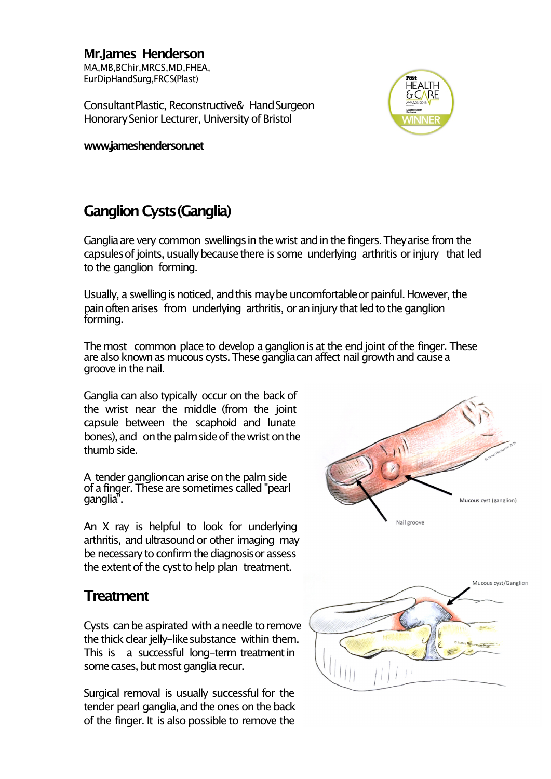**Mr.James Henderson** MA,MB,BChir,MRCS,MD,FHEA, EurDipHandSurg,FRCS(Plast)

ConsultantPlastic, Reconstructive& HandSurgeon Honorary Senior Lecturer, University of Bristol

**www.jameshenderson.net**

## HEALTH **GCARE**

## **Ganglion Cysts(Ganglia)**

Ganglia are very common swellings in the wrist and in the fingers. They arise from the capsules of joints, usually because there is some underlying arthritis or injury that led to the ganglion forming.

Usually, a swelling is noticed, and this may be uncomfortable or painful. However, the pain often arises from underlying arthritis, or an injury that led to the ganglion forming.

The most common place to develop a ganglion is at the end joint of the finger. These are also known as mucous cysts. These ganglia can affect nail growth and cause a groove in the nail.

Ganglia can also typically occur on the back of the wrist near the middle (from the joint capsule between the scaphoid and lunate bones), and on the palm side of the wrist on the thumh side

A tender ganglioncan arise on the palm side of a finger. These are sometimes called"pearl ganglia".

An X ray is helpful to look for underlying arthritis, and ultrasound or other imaging may be necessary to confirm the diagnosis or assess the extent of the cyst to help plan treatment.

## **Treatment**

Cysts can be aspirated with a needle to remove the thick clear jelly-like substance within them. This is a successful long-term treatment in some cases, but most ganglia recur.

Surgical removal is usually successful for the tender pearl ganglia, and the ones on the back of the finger. It is also possible to remove the